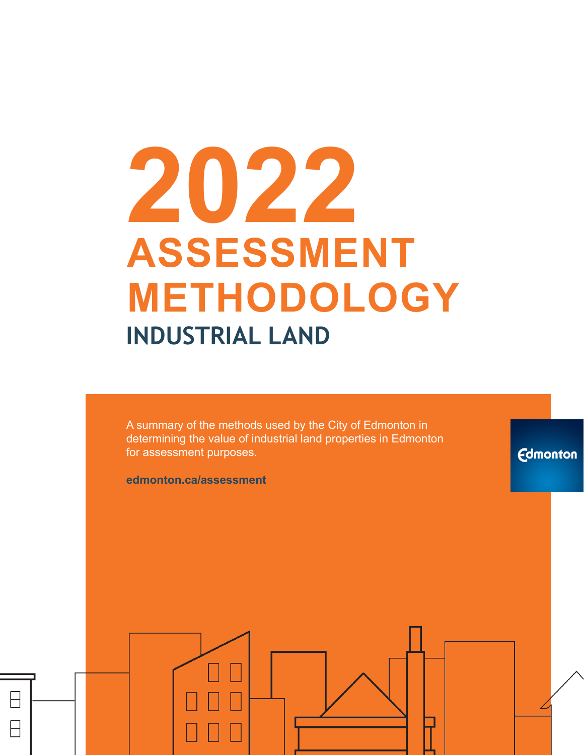# **2022 ASSESSMENT METHODOLOGY INDUSTRIAL LAND**

A summary of the methods used by the City of Edmonton in determining the value of industrial land properties in Edmonton for assessment purposes.

**edmonton.ca/assessment**

**Edmonton**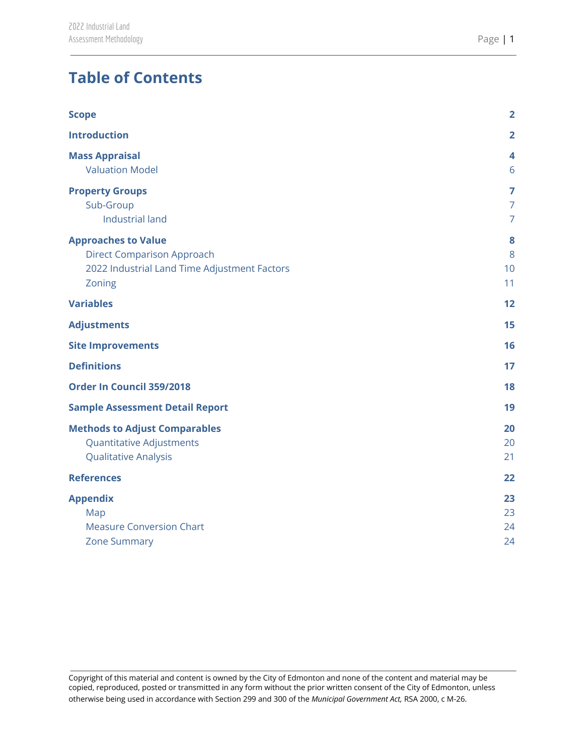# **Table of Contents**

| $\overline{2}$                        |
|---------------------------------------|
|                                       |
| 4<br>6                                |
| 7<br>$\overline{7}$<br>$\overline{7}$ |
| 8<br>8<br>10<br>11                    |
| 12                                    |
| 15                                    |
| 16                                    |
| 17                                    |
| 18                                    |
| 19                                    |
| 20<br>20<br>21                        |
| 22                                    |
| 23<br>23<br>24<br>24                  |
|                                       |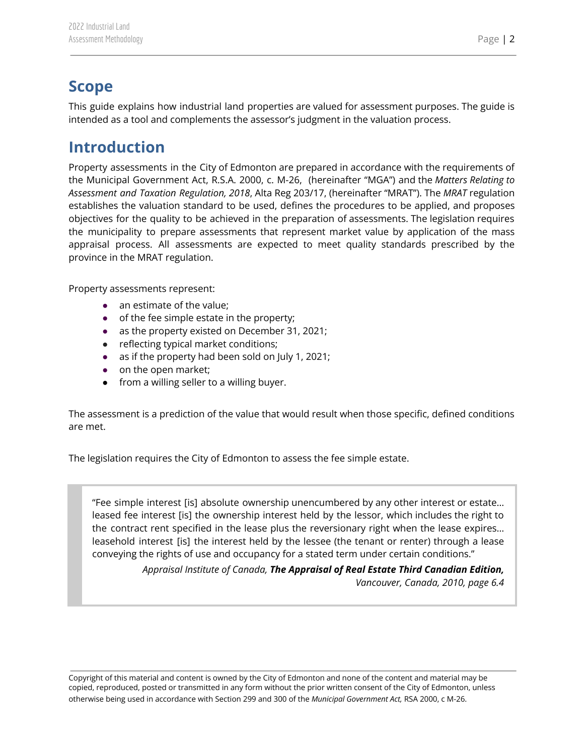# <span id="page-2-0"></span>**Scope**

This guide explains how industrial land properties are valued for assessment purposes. The guide is intended as a tool and complements the assessor's judgment in the valuation process.

# <span id="page-2-1"></span>**Introduction**

Property assessments in the City of Edmonton are prepared in accordance with the requirements of the Municipal Government Act, R.S.A. 2000, c. M-26, (hereinafter "MGA") and the *Matters Relating to Assessment and Taxation Regulation, 2018*, Alta Reg 203/17, (hereinafter "MRAT"). The *MRAT* regulation establishes the valuation standard to be used, defines the procedures to be applied, and proposes objectives for the quality to be achieved in the preparation of assessments. The legislation requires the municipality to prepare assessments that represent market value by application of the mass appraisal process. All assessments are expected to meet quality standards prescribed by the province in the MRAT regulation.

Property assessments represent:

- an estimate of the value;
- of the fee simple estate in the property;
- as the property existed on December 31, 2021;
- reflecting typical market conditions;
- as if the property had been sold on July 1, 2021;
- on the open market;
- from a willing seller to a willing buyer.

The assessment is a prediction of the value that would result when those specific, defined conditions are met.

The legislation requires the City of Edmonton to assess the fee simple estate.

"Fee simple interest [is] absolute ownership unencumbered by any other interest or estate… leased fee interest [is] the ownership interest held by the lessor, which includes the right to the contract rent specified in the lease plus the reversionary right when the lease expires… leasehold interest [is] the interest held by the lessee (the tenant or renter) through a lease conveying the rights of use and occupancy for a stated term under certain conditions."

> *Appraisal Institute of Canada, The Appraisal of Real Estate Third Canadian Edition, Vancouver, Canada, 2010, page 6.4*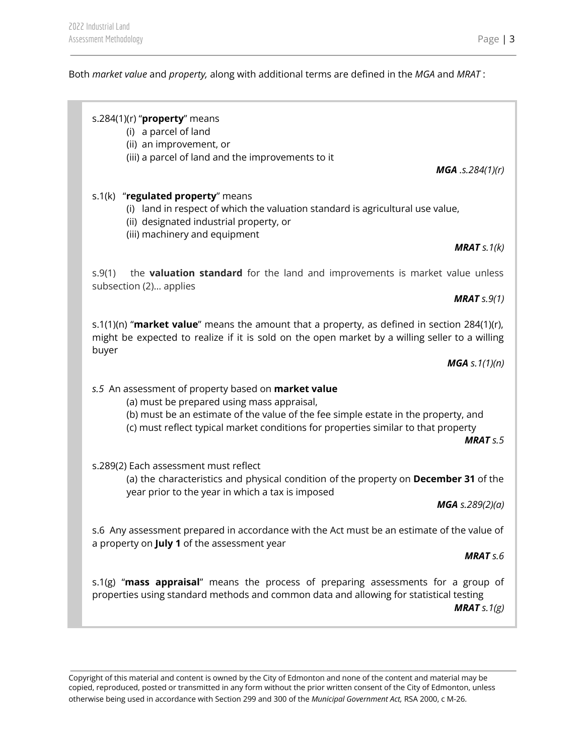#### Both *market value* and *property,* along with additional terms are defined in the *MGA* and *MRAT* :

#### s.284(1)(r) "**property**" means

(i) a parcel of land

(ii) an improvement, or

(iii) a parcel of land and the improvements to it

#### s.1(k) "**regulated property**" means

- (i) land in respect of which the valuation standard is agricultural use value,
- (ii) designated industrial property, or
- (iii) machinery and equipment

#### *MRAT s.1(k)*

*MGA .s.284(1)(r)*

s.9(1) the **valuation standard** for the land and improvements is market value unless subsection (2)… applies

#### *MRAT s.9(1)*

s.1(1)(n) "**market value**" means the amount that a property, as defined in section 284(1)(r), might be expected to realize if it is sold on the open market by a willing seller to a willing buyer

*MGA s.1(1)(n)*

#### *s.5* An assessment of property based on **market value**

- (a) must be prepared using mass appraisal,
- (b) must be an estimate of the value of the fee simple estate in the property, and
- (c) must reflect typical market conditions for properties similar to that property

*MRAT s.5*

s.289(2) Each assessment must reflect

(a) the characteristics and physical condition of the property on **December 31** of the year prior to the year in which a tax is imposed

*MGA s.289(2)(a)*

s.6 Any assessment prepared in accordance with the Act must be an estimate of the value of a property on **July 1** of the assessment year

#### *MRAT s.6*

s.1(g) "**mass appraisal**" means the process of preparing assessments for a group of properties using standard methods and common data and allowing for statistical testing *MRAT s.1(g)*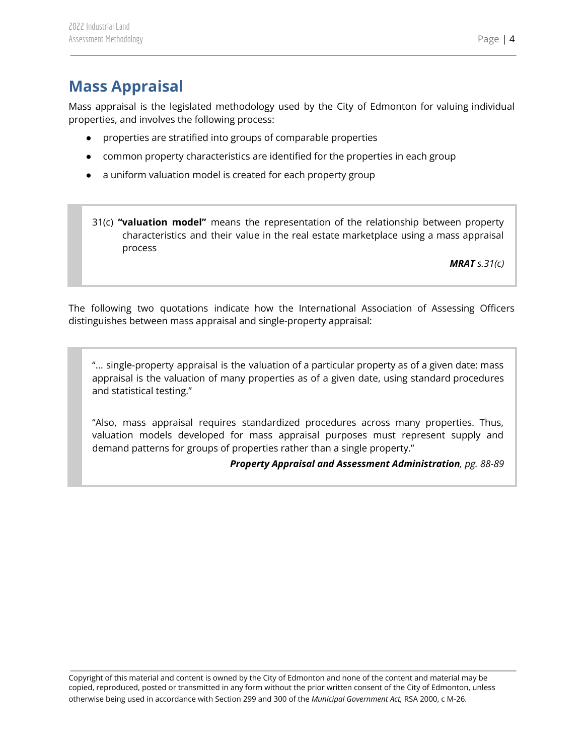<span id="page-4-0"></span>Mass appraisal is the legislated methodology used by the City of Edmonton for valuing individual properties, and involves the following process:

- properties are stratified into groups of comparable properties
- common property characteristics are identified for the properties in each group
- a uniform valuation model is created for each property group
- 31(c) **"valuation model"** means the representation of the relationship between property characteristics and their value in the real estate marketplace using a mass appraisal process

*MRAT s.31(c)*

The following two quotations indicate how the International Association of Assessing Officers distinguishes between mass appraisal and single-property appraisal:

"... single-property appraisal is the valuation of a particular property as of a given date: mass appraisal is the valuation of many properties as of a given date, using standard procedures and statistical testing."

"Also, mass appraisal requires standardized procedures across many properties. Thus, valuation models developed for mass appraisal purposes must represent supply and demand patterns for groups of properties rather than a single property."

*Property Appraisal and Assessment Administration, pg. 88-89*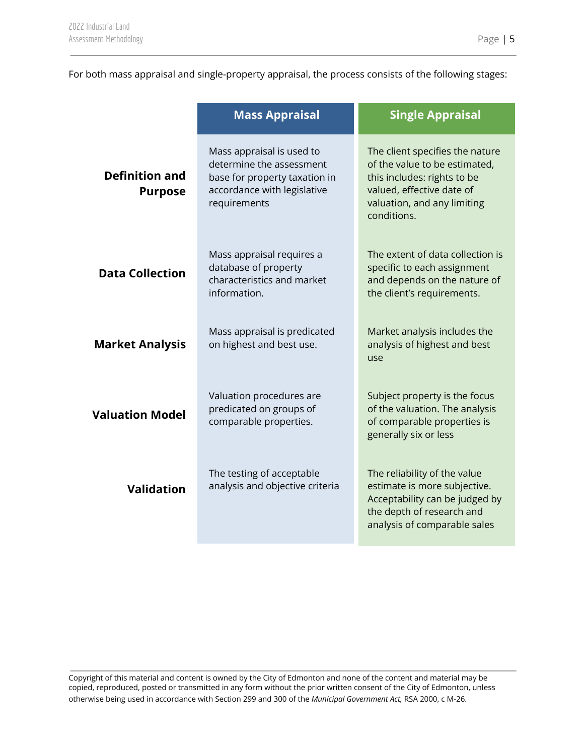For both mass appraisal and single-property appraisal, the process consists of the following stages:

|                                                                                                                           | <b>Mass Appraisal</b>                                                                                                                 | <b>Single Appraisal</b>                                                                                                                                                    |  |
|---------------------------------------------------------------------------------------------------------------------------|---------------------------------------------------------------------------------------------------------------------------------------|----------------------------------------------------------------------------------------------------------------------------------------------------------------------------|--|
| <b>Definition and</b><br><b>Purpose</b>                                                                                   | Mass appraisal is used to<br>determine the assessment<br>base for property taxation in<br>accordance with legislative<br>requirements | The client specifies the nature<br>of the value to be estimated,<br>this includes: rights to be<br>valued, effective date of<br>valuation, and any limiting<br>conditions. |  |
| Mass appraisal requires a<br>database of property<br><b>Data Collection</b><br>characteristics and market<br>information. |                                                                                                                                       | The extent of data collection is<br>specific to each assignment<br>and depends on the nature of<br>the client's requirements.                                              |  |
| <b>Market Analysis</b>                                                                                                    | Mass appraisal is predicated<br>on highest and best use.                                                                              | Market analysis includes the<br>analysis of highest and best<br>use                                                                                                        |  |
| <b>Valuation Model</b>                                                                                                    | Valuation procedures are<br>predicated on groups of<br>comparable properties.                                                         | Subject property is the focus<br>of the valuation. The analysis<br>of comparable properties is<br>generally six or less                                                    |  |
| <b>Validation</b>                                                                                                         | The testing of acceptable<br>analysis and objective criteria                                                                          | The reliability of the value<br>estimate is more subjective.<br>Acceptability can be judged by<br>the depth of research and<br>analysis of comparable sales                |  |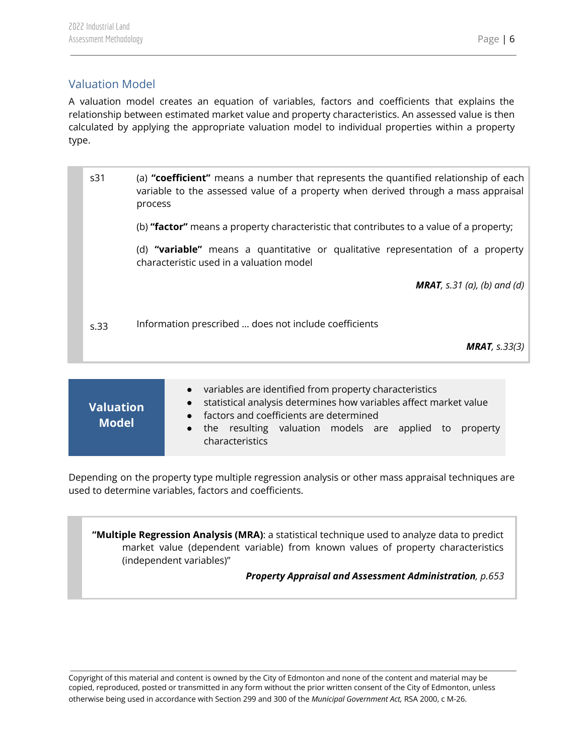## <span id="page-6-0"></span>Valuation Model

A valuation model creates an equation of variables, factors and coefficients that explains the relationship between estimated market value and property characteristics. An assessed value is then calculated by applying the appropriate valuation model to individual properties within a property type.

| s31  | (a) "coefficient" means a number that represents the quantified relationship of each<br>variable to the assessed value of a property when derived through a mass appraisal<br>process |
|------|---------------------------------------------------------------------------------------------------------------------------------------------------------------------------------------|
|      | (b) "factor" means a property characteristic that contributes to a value of a property;                                                                                               |
|      | (d) "variable" means a quantitative or qualitative representation of a property<br>characteristic used in a valuation model                                                           |
|      | <b>MRAT</b> , s.31 (a), (b) and (d)                                                                                                                                                   |
| s.33 | Information prescribed  does not include coefficients                                                                                                                                 |
|      | <b>MRAT</b> , $s.33(3)$                                                                                                                                                               |
|      |                                                                                                                                                                                       |

| <b>Valuation</b><br><b>Model</b> | variables are identified from property characteristics<br>$\bullet$<br>statistical analysis determines how variables affect market value<br>$\bullet$<br>• factors and coefficients are determined |
|----------------------------------|----------------------------------------------------------------------------------------------------------------------------------------------------------------------------------------------------|
|                                  | • the resulting valuation models are applied to property<br>characteristics                                                                                                                        |

Depending on the property type multiple regression analysis or other mass appraisal techniques are used to determine variables, factors and coefficients.

**"Multiple Regression Analysis (MRA)**: a statistical technique used to analyze data to predict market value (dependent variable) from known values of property characteristics (independent variables)"

*Property Appraisal and Assessment Administration, p.653*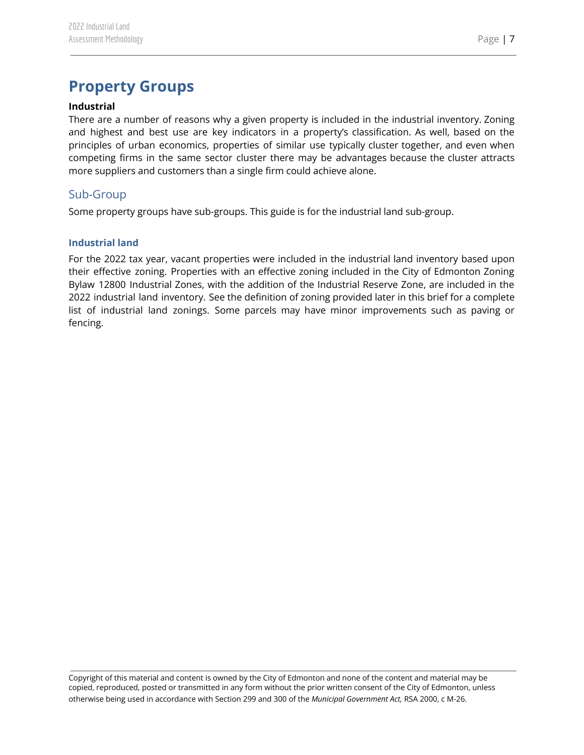# <span id="page-7-0"></span>**Property Groups**

#### **Industrial**

There are a number of reasons why a given property is included in the industrial inventory. Zoning and highest and best use are key indicators in a property's classification. As well, based on the principles of urban economics, properties of similar use typically cluster together, and even when competing firms in the same sector cluster there may be advantages because the cluster attracts more suppliers and customers than a single firm could achieve alone.

### <span id="page-7-1"></span>Sub-Group

Some property groups have sub-groups. This guide is for the industrial land sub-group.

#### <span id="page-7-2"></span>**Industrial land**

For the 2022 tax year, vacant properties were included in the industrial land inventory based upon their effective zoning. Properties with an effective zoning included in the City of Edmonton Zoning Bylaw 12800 Industrial Zones, with the addition of the Industrial Reserve Zone, are included in the 2022 industrial land inventory. See the definition of zoning provided later in this brief for a complete list of industrial land zonings. Some parcels may have minor improvements such as paving or fencing.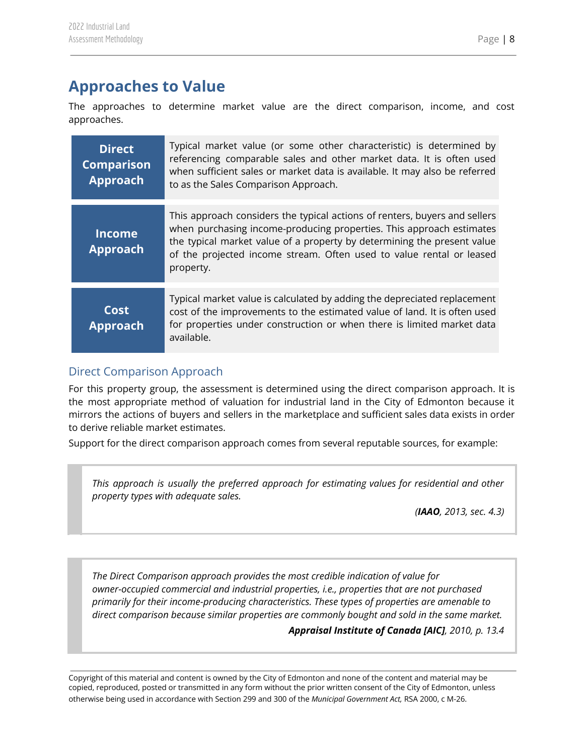# <span id="page-8-0"></span>**Approaches to Value**

The approaches to determine market value are the direct comparison, income, and cost approaches.

| <b>Direct</b><br><b>Comparison</b><br><b>Approach</b> | Typical market value (or some other characteristic) is determined by<br>referencing comparable sales and other market data. It is often used<br>when sufficient sales or market data is available. It may also be referred<br>to as the Sales Comparison Approach.                                                 |
|-------------------------------------------------------|--------------------------------------------------------------------------------------------------------------------------------------------------------------------------------------------------------------------------------------------------------------------------------------------------------------------|
| <b>Income</b><br><b>Approach</b>                      | This approach considers the typical actions of renters, buyers and sellers<br>when purchasing income-producing properties. This approach estimates<br>the typical market value of a property by determining the present value<br>of the projected income stream. Often used to value rental or leased<br>property. |
| Cost<br><b>Approach</b>                               | Typical market value is calculated by adding the depreciated replacement<br>cost of the improvements to the estimated value of land. It is often used<br>for properties under construction or when there is limited market data<br>available.                                                                      |

## <span id="page-8-1"></span>Direct Comparison Approach

For this property group, the assessment is determined using the direct comparison approach. It is the most appropriate method of valuation for industrial land in the City of Edmonton because it mirrors the actions of buyers and sellers in the marketplace and sufficient sales data exists in order to derive reliable market estimates.

Support for the direct comparison approach comes from several reputable sources, for example:

*This approach is usually the preferred approach for estimating values for residential and other property types with adequate sales.*

*(IAAO, 2013, sec. 4.3)*

*The Direct Comparison approach provides the most credible indication of value for owner-occupied commercial and industrial properties, i.e., properties that are not purchased primarily for their income-producing characteristics. These types of properties are amenable to direct comparison because similar properties are commonly bought and sold in the same market.*

*Appraisal Institute of Canada [AIC], 2010, p. 13.4*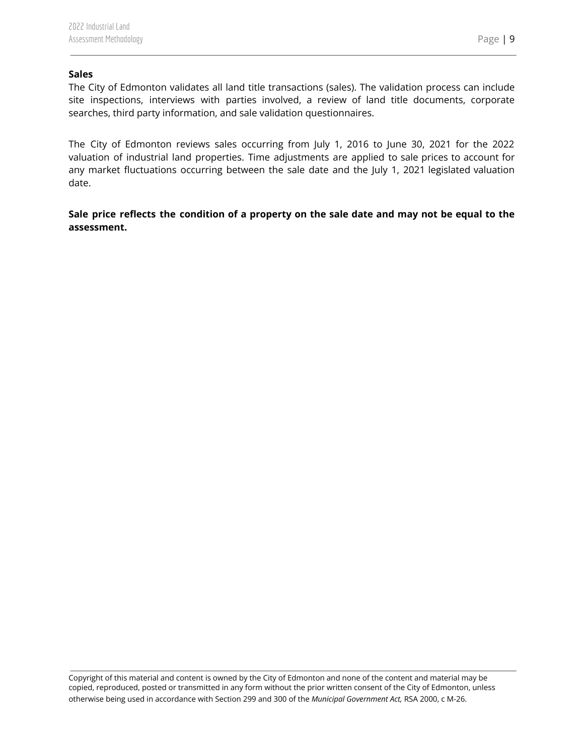#### **Sales**

The City of Edmonton validates all land title transactions (sales). The validation process can include site inspections, interviews with parties involved, a review of land title documents, corporate searches, third party information, and sale validation questionnaires.

The City of Edmonton reviews sales occurring from July 1, 2016 to June 30, 2021 for the 2022 valuation of industrial land properties. Time adjustments are applied to sale prices to account for any market fluctuations occurring between the sale date and the July 1, 2021 legislated valuation date.

Sale price reflects the condition of a property on the sale date and may not be equal to the **assessment.**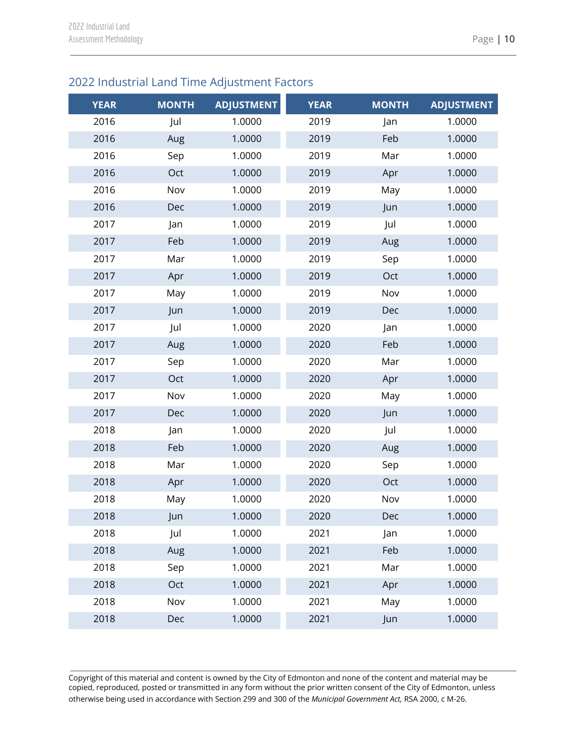## <span id="page-10-0"></span>2022 Industrial Land Time Adjustment Factors

| <b>YEAR</b> | <b>MONTH</b> | <b>ADJUSTMENT</b> | <b>YEAR</b> | <b>MONTH</b> | <b>ADJUSTMENT</b> |
|-------------|--------------|-------------------|-------------|--------------|-------------------|
| 2016        | Jul          | 1.0000            | 2019        | Jan          | 1.0000            |
| 2016        | Aug          | 1.0000            | 2019        | Feb          | 1.0000            |
| 2016        | Sep          | 1.0000            | 2019        | Mar          | 1.0000            |
| 2016        | Oct          | 1.0000            | 2019        | Apr          | 1.0000            |
| 2016        | Nov          | 1.0000            | 2019        | May          | 1.0000            |
| 2016        | Dec          | 1.0000            | 2019        | Jun          | 1.0000            |
| 2017        | Jan          | 1.0000            | 2019        | Jul          | 1.0000            |
| 2017        | Feb          | 1.0000            | 2019        | Aug          | 1.0000            |
| 2017        | Mar          | 1.0000            | 2019        | Sep          | 1.0000            |
| 2017        | Apr          | 1.0000            | 2019        | Oct          | 1.0000            |
| 2017        | May          | 1.0000            | 2019        | Nov          | 1.0000            |
| 2017        | Jun          | 1.0000            | 2019        | Dec          | 1.0000            |
| 2017        | Jul          | 1.0000            | 2020        | Jan          | 1.0000            |
| 2017        | Aug          | 1.0000            | 2020        | Feb          | 1.0000            |
| 2017        | Sep          | 1.0000            | 2020        | Mar          | 1.0000            |
| 2017        | Oct          | 1.0000            | 2020        | Apr          | 1.0000            |
| 2017        | Nov          | 1.0000            | 2020        | May          | 1.0000            |
| 2017        | Dec          | 1.0000            | 2020        | Jun          | 1.0000            |
| 2018        | Jan          | 1.0000            | 2020        | Jul          | 1.0000            |
| 2018        | Feb          | 1.0000            | 2020        | Aug          | 1.0000            |
| 2018        | Mar          | 1.0000            | 2020        | Sep          | 1.0000            |
| 2018        | Apr          | 1.0000            | 2020        | Oct          | 1.0000            |
| 2018        | May          | 1.0000            | 2020        | Nov          | 1.0000            |
| 2018        | Jun          | 1.0000            | 2020        | Dec          | 1.0000            |
| 2018        | Jul          | 1.0000            | 2021        | Jan          | 1.0000            |
| 2018        | Aug          | 1.0000            | 2021        | Feb          | 1.0000            |
| 2018        | Sep          | 1.0000            | 2021        | Mar          | 1.0000            |
| 2018        | Oct          | 1.0000            | 2021        | Apr          | 1.0000            |
| 2018        | Nov          | 1.0000            | 2021        | May          | 1.0000            |
| 2018        | Dec          | 1.0000            | 2021        | Jun          | 1.0000            |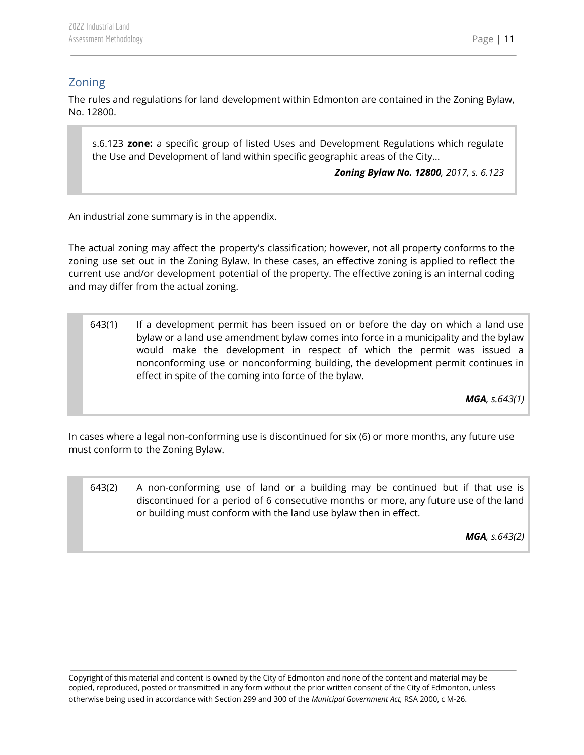## <span id="page-11-0"></span>Zoning

The rules and regulations for land development within Edmonton are contained in the Zoning Bylaw, No. 12800.

s.6.123 **zone:** a specific group of listed Uses and Development Regulations which regulate the Use and Development of land within specific geographic areas of the City...

*Zoning Bylaw No. 12800, 2017, s. 6.123*

An industrial zone summary is in the appendix.

The actual zoning may affect the property's classification; however, not all property conforms to the zoning use set out in the Zoning Bylaw. In these cases, an effective zoning is applied to reflect the current use and/or development potential of the property. The effective zoning is an internal coding and may differ from the actual zoning.

643(1) If a development permit has been issued on or before the day on which a land use bylaw or a land use amendment bylaw comes into force in a municipality and the bylaw would make the development in respect of which the permit was issued a nonconforming use or nonconforming building, the development permit continues in effect in spite of the coming into force of the bylaw.

*MGA, s.643(1)*

In cases where a legal non-conforming use is discontinued for six (6) or more months, any future use must conform to the Zoning Bylaw.

643(2) A non-conforming use of land or a building may be continued but if that use is discontinued for a period of 6 consecutive months or more, any future use of the land or building must conform with the land use bylaw then in effect.

*MGA, s.643(2)*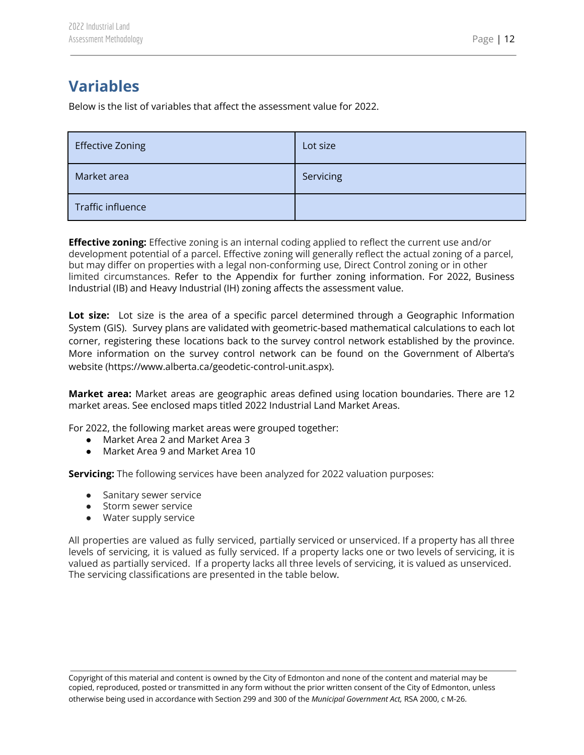# <span id="page-12-0"></span>**Variables**

Below is the list of variables that affect the assessment value for 2022.

| <b>Effective Zoning</b> | Lot size  |
|-------------------------|-----------|
| Market area             | Servicing |
| Traffic influence       |           |

**Effective zoning:** Effective zoning is an internal coding applied to reflect the current use and/or development potential of a parcel. Effective zoning will generally reflect the actual zoning of a parcel, but may differ on properties with a legal non-conforming use, Direct Control zoning or in other limited circumstances. Refer to the Appendix for further zoning information. For 2022, Business Industrial (IB) and Heavy Industrial (IH) zoning affects the assessment value.

**Lot size:** Lot size is the area of a specific parcel determined through a Geographic Information System (GIS). Survey plans are validated with geometric-based mathematical calculations to each lot corner, registering these locations back to the survey control network established by the province. More information on the survey control network can be found on the Government of Alberta's website (https://www.alberta.ca/geodetic-control-unit.aspx).

**Market area:** Market areas are geographic areas defined using location boundaries. There are 12 market areas. See enclosed maps titled 2022 Industrial Land Market Areas.

For 2022, the following market areas were grouped together:

- Market Area 2 and Market Area 3
- Market Area 9 and Market Area 10

**Servicing:** The following services have been analyzed for 2022 valuation purposes:

- Sanitary sewer service
- Storm sewer service
- Water supply service

All properties are valued as fully serviced, partially serviced or unserviced. If a property has all three levels of servicing, it is valued as fully serviced. If a property lacks one or two levels of servicing, it is valued as partially serviced. If a property lacks all three levels of servicing, it is valued as unserviced. The servicing classifications are presented in the table below.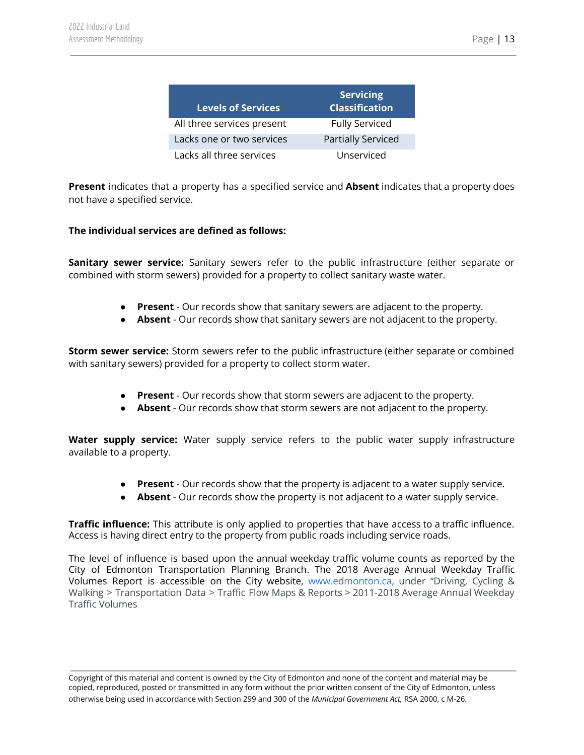| <b>Levels of Services</b>  | <b>Servicing</b><br><b>Classification</b> |
|----------------------------|-------------------------------------------|
| All three services present | <b>Fully Serviced</b>                     |
| Lacks one or two services  | <b>Partially Serviced</b>                 |
| Lacks all three services   | Unserviced                                |

**Present** indicates that a property has a specified service and **Absent** indicates that a property does not have a specified service.

#### **The individual services are defined as follows:**

**Sanitary sewer service:** Sanitary sewers refer to the public infrastructure (either separate or combined with storm sewers) provided for a property to collect sanitary waste water.

- **Present** Our records show that sanitary sewers are adjacent to the property.
- **Absent** Our records show that sanitary sewers are not adjacent to the property.

**Storm sewer service:** Storm sewers refer to the public infrastructure (either separate or combined with sanitary sewers) provided for a property to collect storm water.

- **Present** Our records show that storm sewers are adjacent to the property.
- **Absent** Our records show that storm sewers are not adjacent to the property.

**Water supply service:** Water supply service refers to the public water supply infrastructure available to a property.

- **Present** Our records show that the property is adjacent to a water supply service.
- **Absent** Our records show the property is not adjacent to a water supply service.

**Traffic influence:** This attribute is only applied to properties that have access to a traffic influence. Access is having direct entry to the property from public roads including service roads.

The level of influence is based upon the annual weekday traffic volume counts as reported by the City of Edmonton Transportation Planning Branch. The 2018 Average Annual Weekday Traffic Volumes Report is accessible on the City website, [www.edmonton.ca,](http://www.edmonton.ca) under "Driving, Cycling & Walking > Transportation Data > Traffic Flow Maps & Reports > 2011-2018 Average Annual Weekday Traffic Volumes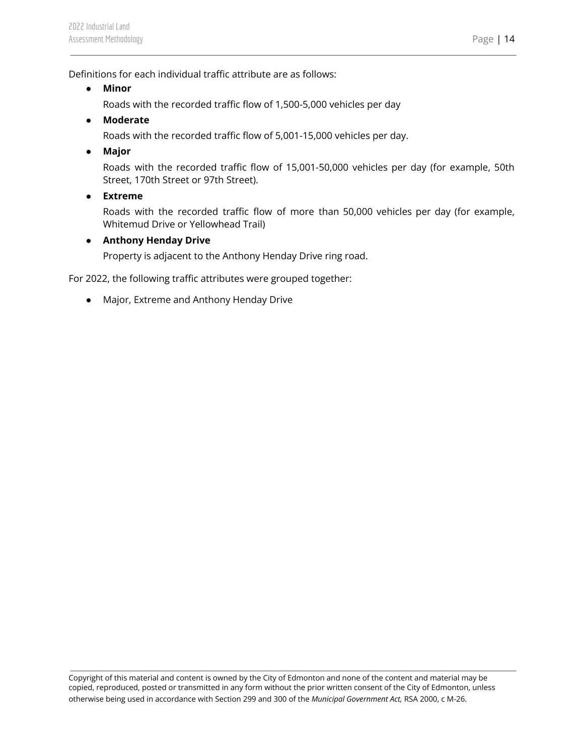Definitions for each individual traffic attribute are as follows:

- **● Minor**
	- Roads with the recorded traffic flow of 1,500-5,000 vehicles per day
- **● Moderate**

Roads with the recorded traffic flow of 5,001-15,000 vehicles per day.

**● Major**

Roads with the recorded traffic flow of 15,001-50,000 vehicles per day (for example, 50th Street, 170th Street or 97th Street).

**● Extreme**

Roads with the recorded traffic flow of more than 50,000 vehicles per day (for example, Whitemud Drive or Yellowhead Trail)

**● Anthony Henday Drive**

Property is adjacent to the Anthony Henday Drive ring road.

For 2022, the following traffic attributes were grouped together:

● Major, Extreme and Anthony Henday Drive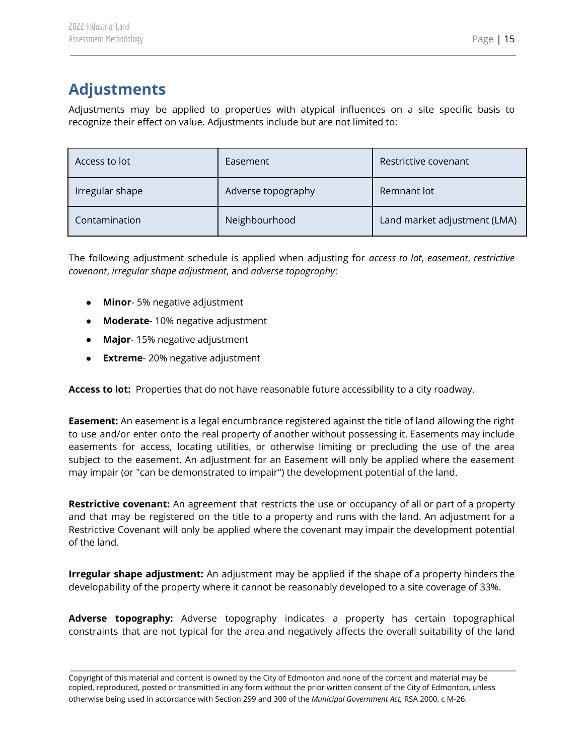# <span id="page-15-0"></span>**Adjustments**

Adjustments may be applied to properties with atypical influences on a site specific basis to recognize their effect on value. Adjustments include but are not limited to:

| Access to lot   | Easement           | Restrictive covenant         |  |
|-----------------|--------------------|------------------------------|--|
| Irregular shape | Adverse topography | Remnant lot                  |  |
| Contamination   | Neighbourhood      | Land market adjustment (LMA) |  |

The following adjustment schedule is applied when adjusting for *access to lot*, *easement*, *restrictive covenant*, *irregular shape adjustment*, and *adverse topography*:

- **Minor** 5% negative adjustment
- **Moderate-** 10% negative adjustment
- **Major** 15% negative adjustment
- **Extreme** 20% negative adjustment

**Access to lot:** Properties that do not have reasonable future accessibility to a city roadway.

**Easement:** An easement is a legal encumbrance registered against the title of land allowing the right to use and/or enter onto the real property of another without possessing it. Easements may include easements for access, locating utilities, or otherwise limiting or precluding the use of the area subject to the easement. An adjustment for an Easement will only be applied where the easement may impair (or "can be demonstrated to impair") the development potential of the land.

**Restrictive covenant:** An agreement that restricts the use or occupancy of all or part of a property and that may be registered on the title to a property and runs with the land. An adjustment for a Restrictive Covenant will only be applied where the covenant may impair the development potential of the land.

**Irregular shape adjustment:** An adjustment may be applied if the shape of a property hinders the developability of the property where it cannot be reasonably developed to a site coverage of 33%.

**Adverse topography:** Adverse topography indicates a property has certain topographical constraints that are not typical for the area and negatively affects the overall suitability of the land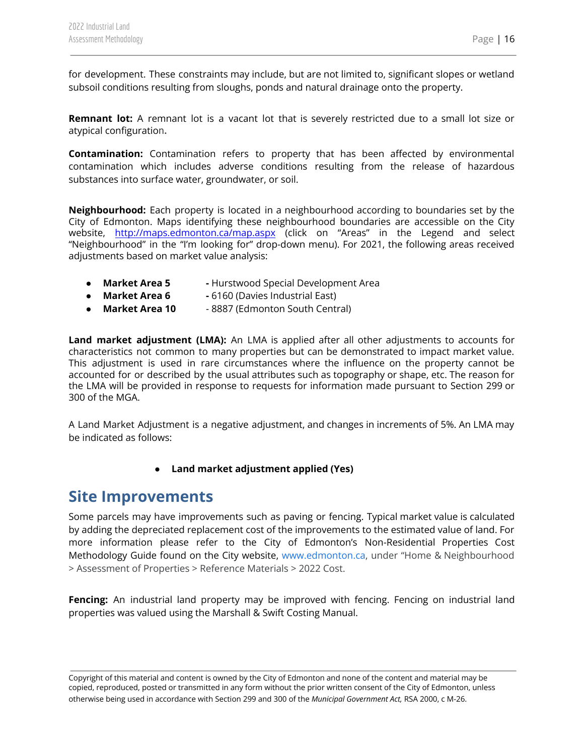for development. These constraints may include, but are not limited to, significant slopes or wetland subsoil conditions resulting from sloughs, ponds and natural drainage onto the property.

**Remnant lot:** A remnant lot is a vacant lot that is severely restricted due to a small lot size or atypical configuration**.**

**Contamination:** Contamination refers to property that has been affected by environmental contamination which includes adverse conditions resulting from the release of hazardous substances into surface water, groundwater, or soil.

**Neighbourhood:** Each property is located in a neighbourhood according to boundaries set by the City of Edmonton. Maps identifying these neighbourhood boundaries are accessible on the City website, <http://maps.edmonton.ca/map.aspx> (click on "Areas" in the Legend and select "Neighbourhood" in the "I'm looking for" drop-down menu). For 2021, the following areas received adjustments based on market value analysis:

- **Market Area 5 -** Hurstwood Special Development Area
- **Market Area 6 -** 6160 (Davies Industrial East)
- **● Market Area 10** 8887 (Edmonton South Central)

**Land market adjustment (LMA):** An LMA is applied after all other adjustments to accounts for characteristics not common to many properties but can be demonstrated to impact market value. This adjustment is used in rare circumstances where the influence on the property cannot be accounted for or described by the usual attributes such as topography or shape, etc. The reason for the LMA will be provided in response to requests for information made pursuant to Section 299 or 300 of the MGA.

A Land Market Adjustment is a negative adjustment, and changes in increments of 5%. An LMA may be indicated as follows:

**● Land market adjustment applied (Yes)**

## <span id="page-16-0"></span>**Site Improvements**

Some parcels may have improvements such as paving or fencing. Typical market value is calculated by adding the depreciated replacement cost of the improvements to the estimated value of land. For more information please refer to the City of Edmonton's Non-Residential Properties Cost Methodology Guide found on the City website, [www.edmonton.ca](http://www.edmonton.ca), under "Home & Neighbourhood > Assessment of Properties > Reference Materials > 2022 Cost.

**Fencing:** An industrial land property may be improved with fencing. Fencing on industrial land properties was valued using the Marshall & Swift Costing Manual.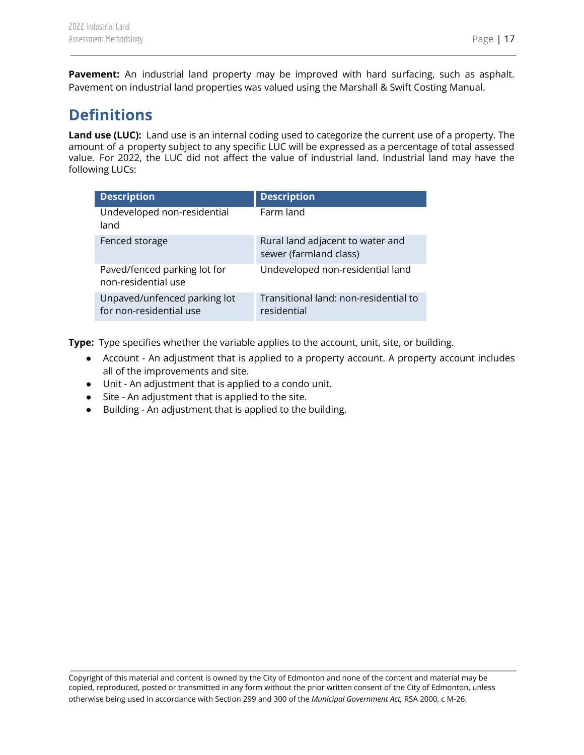**Pavement:** An industrial land property may be improved with hard surfacing, such as asphalt. Pavement on industrial land properties was valued using the Marshall & Swift Costing Manual.

# <span id="page-17-0"></span>**Definitions**

**Land use (LUC):** Land use is an internal coding used to categorize the current use of a property. The amount of a property subject to any specific LUC will be expressed as a percentage of total assessed value. For 2022, the LUC did not affect the value of industrial land. Industrial land may have the following LUCs:

| <b>Description</b>                                      | <b>Description</b>                                         |
|---------------------------------------------------------|------------------------------------------------------------|
| Undeveloped non-residential<br>land                     | Farm land                                                  |
| Fenced storage                                          | Rural land adjacent to water and<br>sewer (farmland class) |
| Paved/fenced parking lot for<br>non-residential use     | Undeveloped non-residential land                           |
| Unpaved/unfenced parking lot<br>for non-residential use | Transitional land: non-residential to<br>residential       |

**Type:** Type specifies whether the variable applies to the account, unit, site, or building.

- Account An adjustment that is applied to a property account. A property account includes all of the improvements and site.
- Unit An adjustment that is applied to a condo unit.
- Site An adjustment that is applied to the site.
- Building An adjustment that is applied to the building.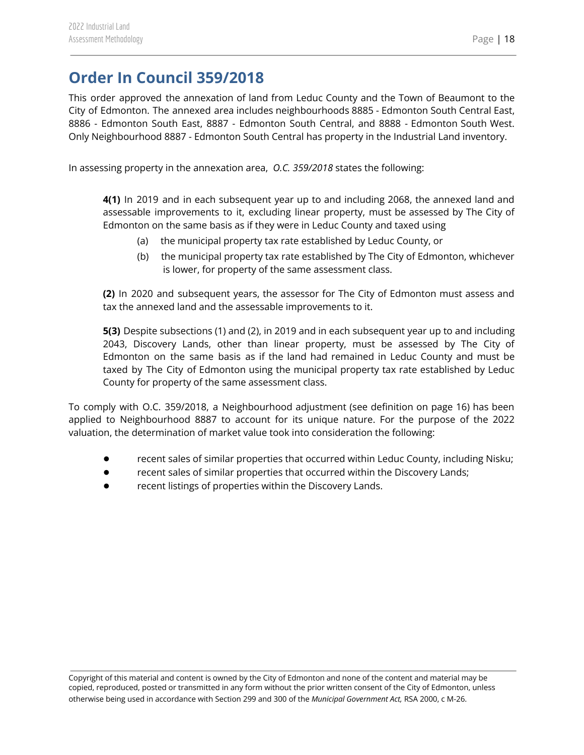## <span id="page-18-0"></span>**Order In Council 359/2018**

This order approved the annexation of land from Leduc County and the Town of Beaumont to the City of Edmonton. The annexed area includes neighbourhoods 8885 - Edmonton South Central East, 8886 - Edmonton South East, 8887 - Edmonton South Central, and 8888 - Edmonton South West. Only Neighbourhood 8887 - Edmonton South Central has property in the Industrial Land inventory.

In assessing property in the annexation area, *O.C. 359/2018* states the following:

**4(1)** In 2019 and in each subsequent year up to and including 2068, the annexed land and assessable improvements to it, excluding linear property, must be assessed by The City of Edmonton on the same basis as if they were in Leduc County and taxed using

- (a) the municipal property tax rate established by Leduc County, or
- (b) the municipal property tax rate established by The City of Edmonton, whichever is lower, for property of the same assessment class.

**(2)** In 2020 and subsequent years, the assessor for The City of Edmonton must assess and tax the annexed land and the assessable improvements to it.

**5(3)** Despite subsections (1) and (2), in 2019 and in each subsequent year up to and including 2043, Discovery Lands, other than linear property, must be assessed by The City of Edmonton on the same basis as if the land had remained in Leduc County and must be taxed by The City of Edmonton using the municipal property tax rate established by Leduc County for property of the same assessment class.

To comply with O.C. 359/2018, a Neighbourhood adjustment (see definition on page 16) has been applied to Neighbourhood 8887 to account for its unique nature. For the purpose of the 2022 valuation, the determination of market value took into consideration the following:

- recent sales of similar properties that occurred within Leduc County, including Nisku;
- recent sales of similar properties that occurred within the Discovery Lands;
- recent listings of properties within the Discovery Lands.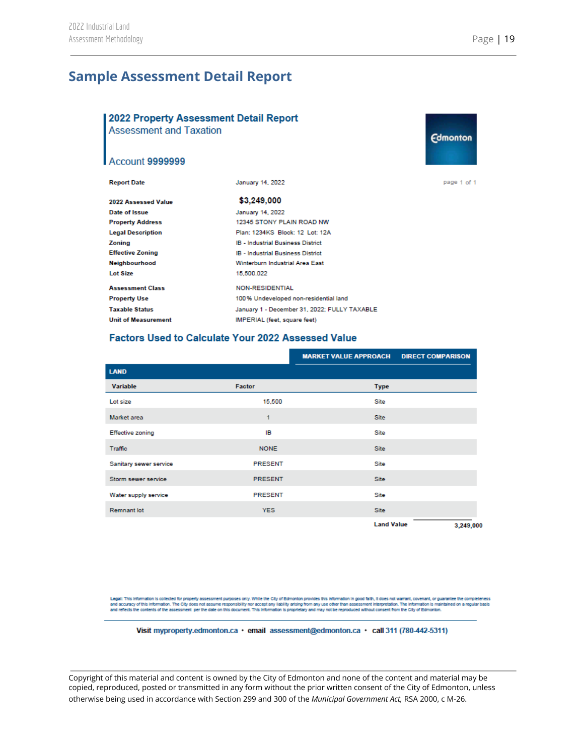**Edmonton** 

## <span id="page-19-0"></span>**Sample Assessment Detail Report**

#### 2022 Property Assessment Detail Report

**Assessment and Taxation** 

#### Account 9999999

| <b>Report Date</b>         | January 14, 2022                             | page 1 of 1 |
|----------------------------|----------------------------------------------|-------------|
| 2022 Assessed Value        | \$3,249,000                                  |             |
| Date of Issue              | January 14, 2022                             |             |
| <b>Property Address</b>    | 12345 STONY PLAIN ROAD NW                    |             |
| <b>Legal Description</b>   | Plan: 1234KS Block: 12 Lot: 12A              |             |
| Zoning                     | IB - Industrial Business District            |             |
| <b>Effective Zoning</b>    | <b>IB - Industrial Business District</b>     |             |
| Neighbourhood              | Winterburn Industrial Area East              |             |
| Lot Size                   | 15,500.022                                   |             |
| <b>Assessment Class</b>    | <b>NON-RESIDENTIAL</b>                       |             |
| <b>Property Use</b>        | 100% Undeveloped non-residential land        |             |
| <b>Taxable Status</b>      | January 1 - December 31, 2022; FULLY TAXABLE |             |
| <b>Unit of Measurement</b> | IMPERIAL (feet, square feet)                 |             |

#### **Factors Used to Calculate Your 2022 Assessed Value**

|                         |                | <b>MARKET VALUE APPROACH DIRECT COMPARISON</b> |           |
|-------------------------|----------------|------------------------------------------------|-----------|
| <b>LAND</b>             |                |                                                |           |
| Variable                | Factor         | <b>Type</b>                                    |           |
| Lot size                | 15,500         | Site                                           |           |
| Market area             | 1              | Site                                           |           |
| <b>Effective zoning</b> | IB             | Site                                           |           |
| Traffic                 | <b>NONE</b>    | Site                                           |           |
| Sanitary sewer service  | <b>PRESENT</b> | Site                                           |           |
| Storm sewer service     | <b>PRESENT</b> | Site                                           |           |
| Water supply service    | <b>PRESENT</b> | Site                                           |           |
| <b>Remnant lot</b>      | <b>YES</b>     | Site                                           |           |
|                         |                | <b>Land Value</b>                              | 3,249,000 |

Legal: This information is collected for property assessment purposes only. While the City of Edmonton provides this information in good faith, it does not warrant, covenant, or guarantee the completeness<br>and accuracy of t

Visit myproperty.edmonton.ca · email assessment@edmonton.ca · call 311 (780-442-5311)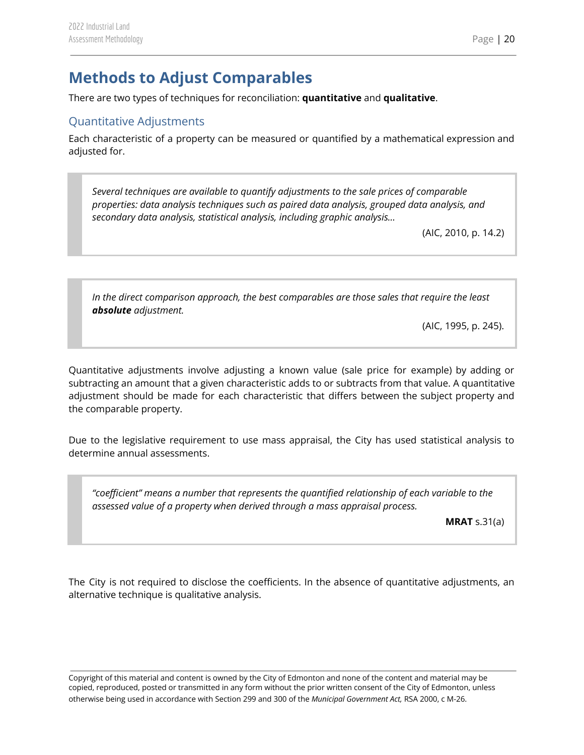# <span id="page-20-0"></span>**Methods to Adjust Comparables**

There are two types of techniques for reconciliation: **quantitative** and **qualitative**.

## <span id="page-20-1"></span>Quantitative Adjustments

Each characteristic of a property can be measured or quantified by a mathematical expression and adjusted for.

*Several techniques are available to quantify adjustments to the sale prices of comparable properties: data analysis techniques such as paired data analysis, grouped data analysis, and secondary data analysis, statistical analysis, including graphic analysis…*

(AIC, 2010, p. 14.2)

*In the direct comparison approach, the best comparables are those sales that require the least absolute adjustment.*

(AIC, 1995, p. 245).

Quantitative adjustments involve adjusting a known value (sale price for example) by adding or subtracting an amount that a given characteristic adds to or subtracts from that value. A quantitative adjustment should be made for each characteristic that differs between the subject property and the comparable property.

Due to the legislative requirement to use mass appraisal, the City has used statistical analysis to determine annual assessments.

*"coefficient" means a number that represents the quantified relationship of each variable to the assessed value of a property when derived through a mass appraisal process.*

**MRAT** s.31(a)

The City is not required to disclose the coefficients. In the absence of quantitative adjustments, an alternative technique is qualitative analysis.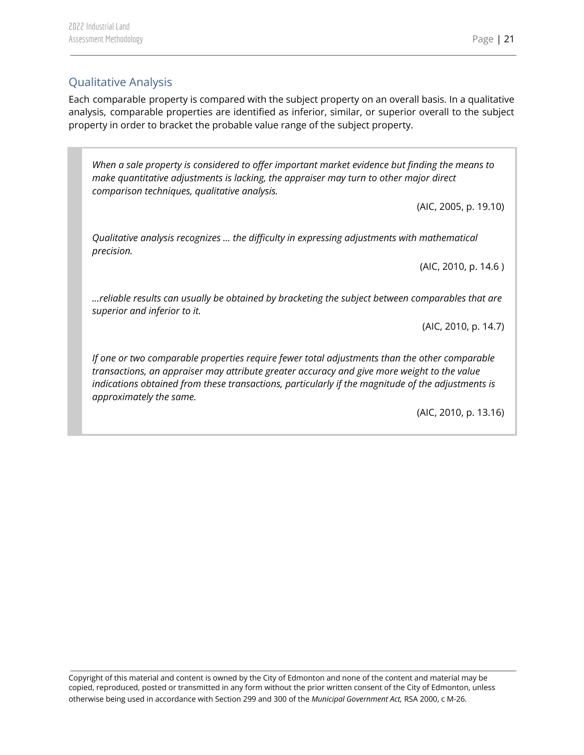## <span id="page-21-0"></span>Qualitative Analysis

Each comparable property is compared with the subject property on an overall basis. In a qualitative analysis, comparable properties are identified as inferior, similar, or superior overall to the subject property in order to bracket the probable value range of the subject property.

*When a sale property is considered to offer important market evidence but finding the means to make quantitative adjustments is lacking, the appraiser may turn to other major direct comparison techniques, qualitative analysis.*

(AIC, 2005, p. 19.10)

*Qualitative analysis recognizes … the difficulty in expressing adjustments with mathematical precision.*

(AIC, 2010, p. 14.6 )

*…reliable results can usually be obtained by bracketing the subject between comparables that are superior and inferior to it.*

(AIC, 2010, p. 14.7)

*If one or two comparable properties require fewer total adjustments than the other comparable transactions, an appraiser may attribute greater accuracy and give more weight to the value indications obtained from these transactions, particularly if the magnitude of the adjustments is approximately the same.*

(AIC, 2010, p. 13.16)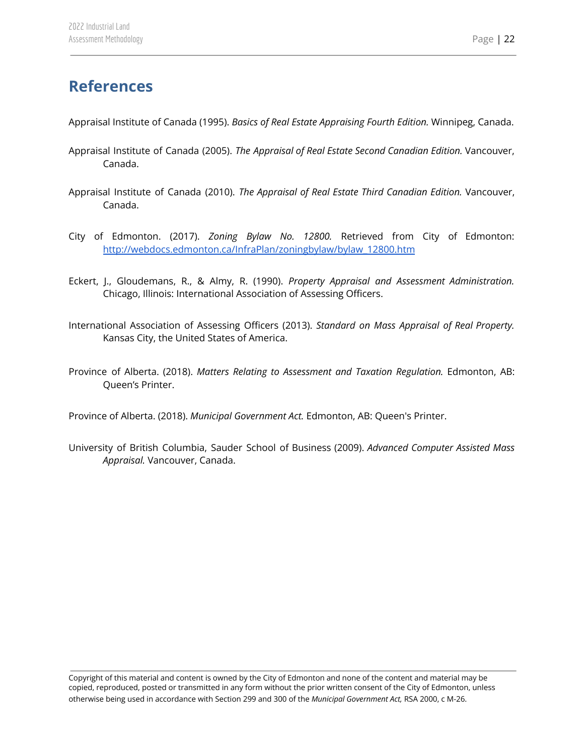## <span id="page-22-0"></span>**References**

Appraisal Institute of Canada (1995). *Basics of Real Estate Appraising Fourth Edition.* Winnipeg, Canada.

- Appraisal Institute of Canada (2005). *The Appraisal of Real Estate Second Canadian Edition.* Vancouver, Canada.
- Appraisal Institute of Canada (2010). *The Appraisal of Real Estate Third Canadian Edition.* Vancouver, Canada.
- City of Edmonton. (2017). *Zoning Bylaw No. 12800.* Retrieved from City of Edmonton: [http://webdocs.edmonton.ca/InfraPlan/zoningbylaw/bylaw\\_12800.htm](http://webdocs.edmonton.ca/InfraPlan/zoningbylaw/bylaw_12800.htm)
- Eckert, J., Gloudemans, R., & Almy, R. (1990). *Property Appraisal and Assessment Administration.* Chicago, Illinois: International Association of Assessing Officers.
- International Association of Assessing Officers (2013). *Standard on Mass Appraisal of Real Property.* Kansas City, the United States of America.
- Province of Alberta. (2018). *Matters Relating to Assessment and Taxation Regulation.* Edmonton, AB: Queen's Printer.

Province of Alberta. (2018). *Municipal Government Act.* Edmonton, AB: Queen's Printer.

University of British Columbia, Sauder School of Business (2009). *Advanced Computer Assisted Mass Appraisal.* Vancouver, Canada.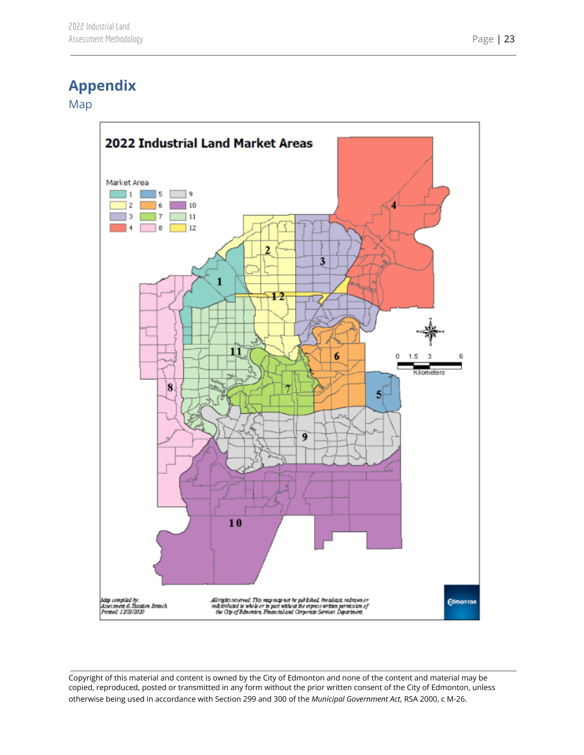## <span id="page-23-0"></span>**Appendix**

<span id="page-23-1"></span>Map

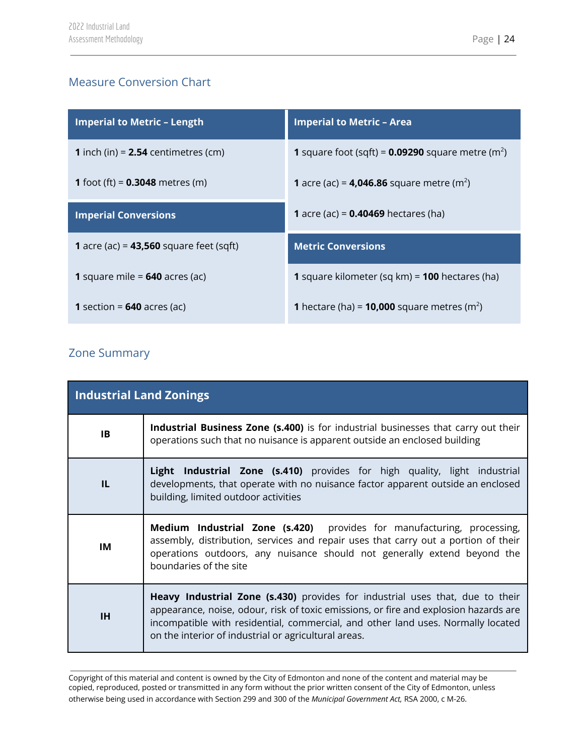## <span id="page-24-0"></span>Measure Conversion Chart

| <b>Imperial to Metric - Length</b>           | <b>Imperial to Metric - Area</b>                                       |
|----------------------------------------------|------------------------------------------------------------------------|
| <b>1</b> inch (in) = $2.54$ centimetres (cm) | <b>1</b> square foot (sqft) = $0.09290$ square metre (m <sup>2</sup> ) |
| <b>1</b> foot (ft) = $0.3048$ metres (m)     | <b>1</b> acre (ac) = <b>4,046.86</b> square metre (m <sup>2</sup> )    |
| <b>Imperial Conversions</b>                  | <b>1</b> acre (ac) = $0.40469$ hectares (ha)                           |
| 1 acre (ac) = $43,560$ square feet (sqft)    | <b>Metric Conversions</b>                                              |
| 1 square mile = $640$ acres (ac)             | <b>1</b> square kilometer (sq km) = $100$ hectares (ha)                |
| <b>1</b> section = $640$ acres (ac)          | <b>1</b> hectare (ha) = <b>10,000</b> square metres (m <sup>2</sup> )  |

## <span id="page-24-1"></span>Zone Summary

| <b>Industrial Land Zonings</b> |                                                                                                                                                                                                                                                                                                                          |
|--------------------------------|--------------------------------------------------------------------------------------------------------------------------------------------------------------------------------------------------------------------------------------------------------------------------------------------------------------------------|
| 1B                             | Industrial Business Zone (s.400) is for industrial businesses that carry out their<br>operations such that no nuisance is apparent outside an enclosed building                                                                                                                                                          |
| TL.                            | <b>Light Industrial Zone (s.410)</b> provides for high quality, light industrial<br>developments, that operate with no nuisance factor apparent outside an enclosed<br>building, limited outdoor activities                                                                                                              |
| IМ                             | Medium Industrial Zone (s.420) provides for manufacturing, processing,<br>assembly, distribution, services and repair uses that carry out a portion of their<br>operations outdoors, any nuisance should not generally extend beyond the<br>boundaries of the site                                                       |
| <b>IH</b>                      | <b>Heavy Industrial Zone (s.430)</b> provides for industrial uses that, due to their<br>appearance, noise, odour, risk of toxic emissions, or fire and explosion hazards are<br>incompatible with residential, commercial, and other land uses. Normally located<br>on the interior of industrial or agricultural areas. |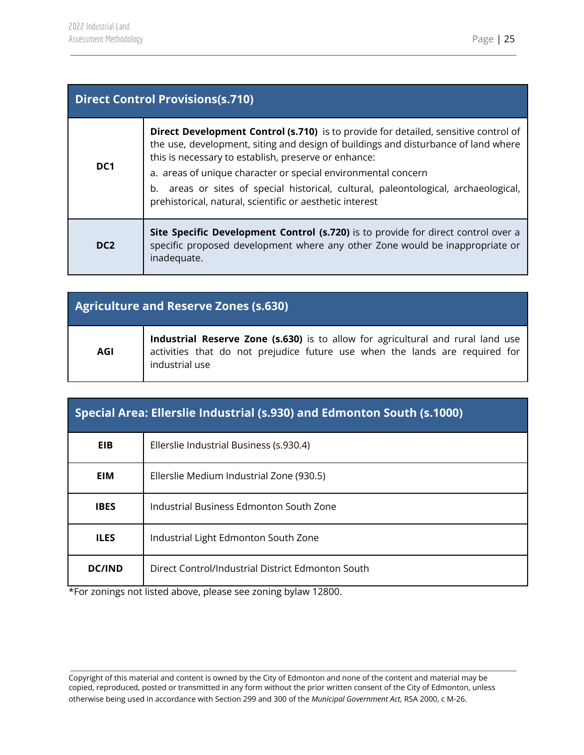| <b>Direct Control Provisions(s.710)</b> |                                                                                                                                                                                                                                                                                                                                                                                                                                                       |
|-----------------------------------------|-------------------------------------------------------------------------------------------------------------------------------------------------------------------------------------------------------------------------------------------------------------------------------------------------------------------------------------------------------------------------------------------------------------------------------------------------------|
| DC <sub>1</sub>                         | Direct Development Control (s.710) is to provide for detailed, sensitive control of<br>the use, development, siting and design of buildings and disturbance of land where<br>this is necessary to establish, preserve or enhance:<br>a. areas of unique character or special environmental concern<br>b. areas or sites of special historical, cultural, paleontological, archaeological,<br>prehistorical, natural, scientific or aesthetic interest |
| DC <sub>2</sub>                         | Site Specific Development Control (s.720) is to provide for direct control over a<br>specific proposed development where any other Zone would be inappropriate or<br>inadequate.                                                                                                                                                                                                                                                                      |

| <b>Agriculture and Reserve Zones (s.630)</b> |                                                                                                                                                                                  |
|----------------------------------------------|----------------------------------------------------------------------------------------------------------------------------------------------------------------------------------|
| <b>AGI</b>                                   | Industrial Reserve Zone (s.630) is to allow for agricultural and rural land use<br>activities that do not prejudice future use when the lands are required for<br>industrial use |

| Special Area: Ellerslie Industrial (s.930) and Edmonton South (s.1000) |                                                   |
|------------------------------------------------------------------------|---------------------------------------------------|
| <b>EIB</b>                                                             | Ellerslie Industrial Business (s.930.4)           |
| EIM                                                                    | Ellerslie Medium Industrial Zone (930.5)          |
| <b>IBES</b>                                                            | Industrial Business Edmonton South Zone           |
| <b>ILES</b>                                                            | Industrial Light Edmonton South Zone              |
| <b>DC/IND</b>                                                          | Direct Control/Industrial District Edmonton South |

\*For zonings not listed above, please see zoning bylaw 12800.